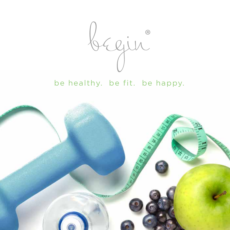

be healthy. be fit. be happy.

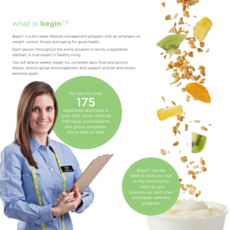#### what is **begin**®?

Begin® is a ten-week lifestyle management program with an emphasis on weight control, fitness and eating for good health.

Each session throughout the entire program is led by a registered dietitian. A true expert in healthy living.

You will attend weekly weigh-ins, complete daily food and activity diaries, receive group encouragement and support and set and review personal goals.

# 175

registered dietitians in over 200 stores offering and group programs. We're here to help.

> Begin® can be held in-store our out – even at your business as part of an program.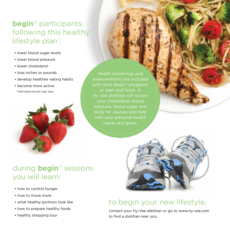### **begin**® participants following this healthy lifestyle plan<sup>\*</sup>:

- lower blood sugar levels
- lower blood pressure
- lower cholesterol
- lose inches or pounds
- develop healthier eating habits
- become more active *\*Individual results may vary*



Health screenings and measurements are included with most Begin® programs at start and finish. A pressure, blood sugar and body fat vaulues and help with your personal health needs and goals.

## during **begin**® sessions you will learn:

- how to control hunger
- how to move more
- what healthy portions look like
- how to prepare healthy foods
- healthy shopping tour



### to begin your new lifestyle,

contact your Hy-Vee dietitian or go to www.hy-vee.com to find a dietitian near you.